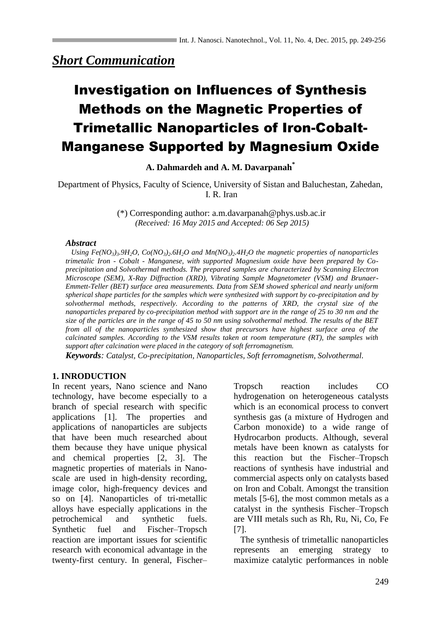## *Short Communication*

# Investigation on Influences of Synthesis Methods on the Magnetic Properties of Trimetallic Nanoparticles of Iron-Cobalt-Manganese Supported by Magnesium Oxide

**A. Dahmardeh and A. M. Davarpanah\***

Department of Physics, Faculty of Science, University of Sistan and Baluchestan, Zahedan, I. R. Iran

> (\*) Corresponding author: a.m.davarpanah@phys.usb.ac.ir *(Received: 16 May 2015 and Accepted: 06 Sep 2015)*

#### *Abstract*

Using Fe(NO<sub>3</sub>)<sub>3</sub>.9H<sub>2</sub>O, Co(NO<sub>3</sub>)<sub>2</sub>.6H<sub>2</sub>O and Mn(NO<sub>3</sub>)<sub>2</sub>.4H<sub>2</sub>O the magnetic properties of nanoparticles *trimetalic Iron - Cobalt - Manganese, with supported Magnesium oxide have been prepared by Coprecipitation and Solvothermal methods. The prepared samples are characterized by Scanning Electron Microscope (SEM), X-Ray Diffraction (XRD), Vibrating Sample Magnetometer (VSM) and Brunaer-Emmett-Teller (BET) surface area measurements. Data from SEM showed spherical and nearly uniform spherical shape particles for the samples which were synthesized with support by co-precipitation and by solvothermal methods, respectively. According to the patterns of XRD, the crystal size of the nanoparticles prepared by co-precipitation method with support are in the range of 25 to 30 nm and the size of the particles are in the range of 45 to 50 nm using solvothermal method. The results of the BET from all of the nanoparticles synthesized show that precursors have highest surface area of the calcinated samples. According to the VSM results taken at room temperature (RT), the samples with support after calcination were placed in the category of soft ferromagnetism.*

*Keywords: Catalyst, Co-precipitation, Nanoparticles, Soft ferromagnetism, Solvothermal.*

## **1. INRODUCTION**

In recent years, Nano science and Nano technology, have become especially to a branch of special research with specific applications [1]. The properties and applications of nanoparticles are subjects that have been much researched about them because they have unique physical and chemical properties [2, 3]. The magnetic properties of materials in Nanoscale are used in high-density recording, image color, high-frequency devices and so on [4]. Nanoparticles of tri-metallic alloys have especially applications in the petrochemical and synthetic fuels. Synthetic fuel and Fischer–Tropsch reaction are important issues for scientific research with economical advantage in the twenty-first century. In general, Fischer– Tropsch reaction includes CO hydrogenation on heterogeneous catalysts which is an economical process to convert synthesis gas (a mixture of Hydrogen and Carbon monoxide) to a wide range of Hydrocarbon products. Although, several metals have been known as catalysts for this reaction but the Fischer–Tropsch reactions of synthesis have industrial and commercial aspects only on catalysts based on Iron and Cobalt. Amongst the transition metals [5-6], the most common metals as a catalyst in the synthesis Fischer–Tropsch are VIII metals such as Rh, Ru, Ni, Co, Fe [7].

 The synthesis of trimetallic nanoparticles represents an emerging strategy to maximize catalytic performances in noble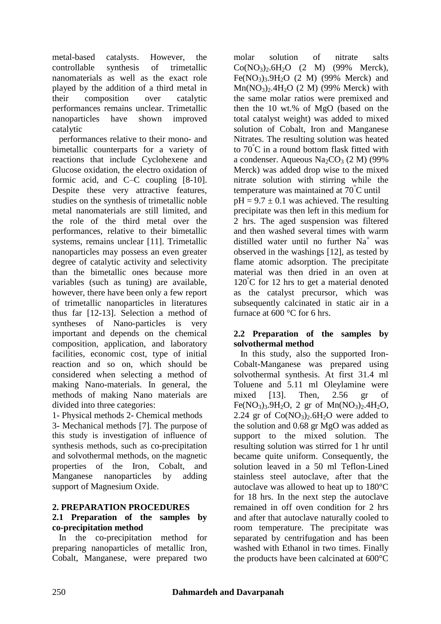metal-based catalysts. However, the controllable synthesis of trimetallic nanomaterials as well as the exact role played by the addition of a third metal in their composition over catalytic performances remains unclear. Trimetallic nanoparticles have shown improved catalytic

 performances relative to their mono- and bimetallic counterparts for a variety of reactions that include Cyclohexene and Glucose oxidation, the electro oxidation of formic acid, and C–C coupling [8-10]. Despite these very attractive features, studies on the synthesis of trimetallic noble metal nanomaterials are still limited, and the role of the third metal over the performances, relative to their bimetallic systems, remains unclear [11]. Trimetallic nanoparticles may possess an even greater degree of catalytic activity and selectivity than the bimetallic ones because more variables (such as tuning) are available, however, there have been only a few report of trimetallic nanoparticles in literatures thus far [12-13]. Selection a method of syntheses of Nano-particles is very important and depends on the chemical composition, application, and laboratory facilities, economic cost, type of initial reaction and so on, which should be considered when selecting a method of making Nano-materials. In general, the methods of making Nano materials are divided into three categories:

1- Physical methods 2- Chemical methods

3- Mechanical methods [7]. The purpose of this study is investigation of influence of synthesis methods, such as co-precipitation and solvothermal methods, on the magnetic properties of the Iron, Cobalt, and Manganese nanoparticles by adding support of Magnesium Oxide.

## **2. PREPARATION PROCEDURES**

## **2.1 Preparation of the samples by co-precipitation method**

In the co-precipitation method for preparing nanoparticles of metallic Iron, Cobalt, Manganese, were prepared two molar solution of nitrate salts  $Co(NO<sub>3</sub>)<sub>2</sub>.6H<sub>2</sub>O (2 M) (99% Merck),$ Fe(NO<sub>3</sub>)<sub>3</sub>.9H<sub>2</sub>O (2 M) (99% Merck) and  $Mn(NO_3)_2.4H_2O$  (2 M) (99% Merck) with the same molar ratios were premixed and then the 10 wt.% of MgO (based on the total catalyst weight) was added to mixed solution of Cobalt, Iron and Manganese Nitrates. The resulting solution was heated to 70°C in a round bottom flask fitted with a condenser. Aqueous Na<sub>2</sub>CO<sub>3</sub> (2 M) (99%) Merck) was added drop wise to the mixed nitrate solution with stirring while the temperature was maintained at 70°C until  $pH = 9.7 \pm 0.1$  was achieved. The resulting precipitate was then left in this medium for 2 hrs. The aged suspension was filtered and then washed several times with warm distilled water until no further  $Na<sup>+</sup>$  was observed in the washings [12], as tested by flame atomic adsorption. The precipitate material was then dried in an oven at 120°C for 12 hrs to get a material denoted as the catalyst precursor, which was subsequently calcinated in static air in a furnace at 600 °C for 6 hrs.

## **2.2 Preparation of the samples by solvothermal method**

In this study, also the supported Iron-Cobalt-Manganese was prepared using solvothermal synthesis. At first 31.4 ml Toluene and 5.11 ml Oleylamine were mixed [13]. Then, 2.56 gr of Fe(NO<sub>3</sub>)<sub>3</sub>.9H<sub>2</sub>O, 2 gr of Mn(NO<sub>3</sub>)<sub>2</sub>.4H<sub>2</sub>O, 2.24 gr of  $Co(NO_3)_2.6H_2O$  were added to the solution and 0.68 gr MgO was added as support to the mixed solution. The resulting solution was stirred for 1 hr until became quite uniform. Consequently, the solution leaved in a 50 ml Teflon-Lined stainless steel autoclave, after that the autoclave was allowed to heat up to 180°C for 18 hrs. In the next step the autoclave remained in off oven condition for 2 hrs and after that autoclave naturally cooled to room temperature. The precipitate was separated by centrifugation and has been washed with Ethanol in two times. Finally the products have been calcinated at 600°C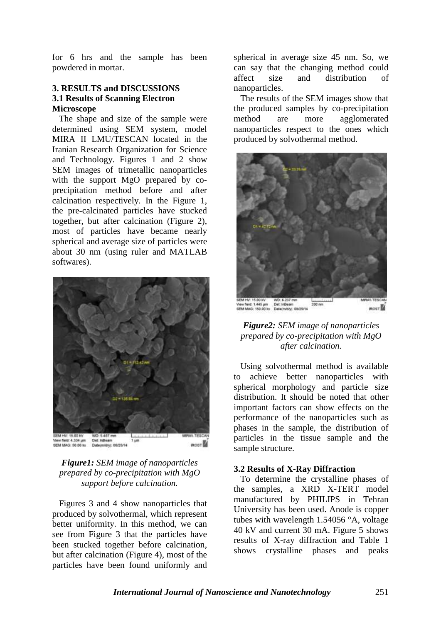for 6 hrs and the sample has been powdered in mortar.

## **3. RESULTS and DISCUSSIONS 3.1 Results of Scanning Electron Microscope**

The shape and size of the sample were determined using SEM system, model MIRA II LMU/TESCAN located in the Iranian Research Organization for Science and Technology. Figures 1 and 2 show SEM images of trimetallic nanoparticles with the support MgO prepared by coprecipitation method before and after calcination respectively. In the Figure 1, the pre-calcinated particles have stucked together, but after calcination (Figure 2), most of particles have became nearly spherical and average size of particles were about 30 nm (using ruler and MATLAB softwares).



*Figure1: SEM image of nanoparticles prepared by co-precipitation with MgO support before calcination.*

Figures 3 and 4 show nanoparticles that produced by solvothermal, which represent better uniformity. In this method, we can see from Figure 3 that the particles have been stucked together before calcination, but after calcination (Figure 4), most of the particles have been found uniformly and

spherical in average size 45 nm. So, we can say that the changing method could<br>affect size and distribution of affect size and distribution of nanoparticles.

 The results of the SEM images show that the produced samples by co-precipitation method are more agglomerated nanoparticles respect to the ones which produced by solvothermal method.



## *Figure2: SEM image of nanoparticles prepared by co-precipitation with MgO after calcination.*

Using solvothermal method is available to achieve better nanoparticles with spherical morphology and particle size distribution. It should be noted that other important factors can show effects on the performance of the nanoparticles such as phases in the sample, the distribution of particles in the tissue sample and the sample structure.

## **3.2 Results of X-Ray Diffraction**

To determine the crystalline phases of the samples, a XRD X-TERT model manufactured by PHILIPS in Tehran University has been used. Anode is copper tubes with wavelength 1.54056 °A, voltage 40 kV and current 30 mA. Figure 5 shows results of X-ray diffraction and Table 1 shows crystalline phases and peaks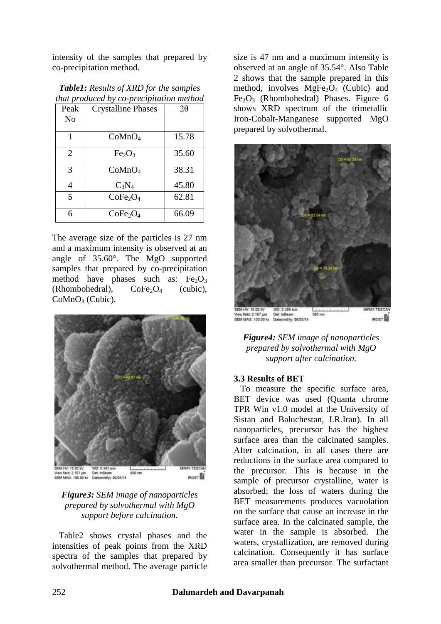intensity of the samples that prepared by co-precipitation method.

| that produced by co-precipitation method |                                  |           |  |  |
|------------------------------------------|----------------------------------|-----------|--|--|
| Peak                                     | <b>Crystalline Phases</b>        | $2\theta$ |  |  |
| No                                       |                                  |           |  |  |
|                                          |                                  |           |  |  |
|                                          | CoMnO <sub>4</sub>               | 15.78     |  |  |
| 2                                        | Fe <sub>2</sub> O <sub>3</sub>   | 35.60     |  |  |
| 3                                        | CoMnO <sub>4</sub>               | 38.31     |  |  |
| 4                                        | $C_3N_4$                         | 45.80     |  |  |
| 5                                        | CoFe <sub>2</sub> O <sub>4</sub> | 62.81     |  |  |
| 6                                        | CoFe <sub>2</sub> O <sub>4</sub> | 66.09     |  |  |

| <b>Table1:</b> Results of XRD for the samples |
|-----------------------------------------------|
| that produced by co-precipitation method      |

The average size of the particles is 27 nm and a maximum intensity is observed at an angle of 35.60°. The MgO supported samples that prepared by co-precipitation method have phases such as:  $Fe<sub>2</sub>O<sub>3</sub>$ (Rhombohedral),  $CoFe<sub>2</sub>O<sub>4</sub>$  (cubic), CoMnO<sub>3</sub> (Cubic).



## *Figure3: SEM image of nanoparticles prepared by solvothermal with MgO support before calcination.*

 Table2 shows crystal phases and the intensities of peak points from the XRD spectra of the samples that prepared by solvothermal method. The average particle size is 47 nm and a maximum intensity is observed at an angle of 35.54°. Also Table 2 shows that the sample prepared in this method, involves  $MgFe<sub>2</sub>O<sub>4</sub>$  (Cubic) and  $Fe<sub>2</sub>O<sub>3</sub>$  (Rhombohedral) Phases. Figure 6 shows XRD spectrum of the trimetallic Iron-Cobalt-Manganese supported MgO prepared by solvothermal.



*Figure4: SEM image of nanoparticles prepared by solvothermal with MgO support after calcination.*

## **3.3 Results of BET**

To measure the specific surface area, BET device was used (Quanta chrome TPR Win v1.0 model at the University of Sistan and Baluchestan, I.R.Iran). In all nanoparticles, precursor has the highest surface area than the calcinated samples. After calcination, in all cases there are reductions in the surface area compared to the precursor. This is because in the sample of precursor crystalline, water is absorbed; the loss of waters during the BET measurements produces vacuolation on the surface that cause an increase in the surface area. In the calcinated sample, the water in the sample is absorbed. The waters, crystallization, are removed during calcination. Consequently it has surface area smaller than precursor. The surfactant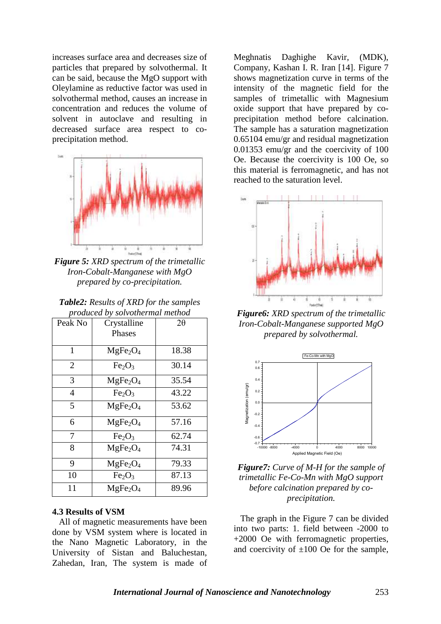increases surface area and decreases size of particles that prepared by solvothermal. It can be said, because the MgO support with Oleylamine as reductive factor was used in solvothermal method, causes an increase in concentration and reduces the volume of solvent in autoclave and resulting in decreased surface area respect to coprecipitation method.



*Figure 5: XRD spectrum of the trimetallic Iron-Cobalt-Manganese with MgO prepared by co-precipitation.*

| <b>Table2:</b> Results of XRD for the samples |
|-----------------------------------------------|
| produced by solvothermal method               |

| Peak No        | Crystalline<br><b>Phases</b>     | $2\theta$ |
|----------------|----------------------------------|-----------|
| 1              | MgFe <sub>2</sub> O <sub>4</sub> | 18.38     |
| $\overline{2}$ | Fe <sub>2</sub> O <sub>3</sub>   | 30.14     |
| 3              | MgFe <sub>2</sub> O <sub>4</sub> | 35.54     |
| 4              | Fe <sub>2</sub> O <sub>3</sub>   | 43.22     |
| 5              | MgFe <sub>2</sub> O <sub>4</sub> | 53.62     |
| 6              | MgFe <sub>2</sub> O <sub>4</sub> | 57.16     |
| 7              | Fe <sub>2</sub> O <sub>3</sub>   | 62.74     |
| 8              | MgFe <sub>2</sub> O <sub>4</sub> | 74.31     |
| 9              | MgFe <sub>2</sub> O <sub>4</sub> | 79.33     |
| 10             | Fe <sub>2</sub> O <sub>3</sub>   | 87.13     |
| 11             | MgFe <sub>2</sub> O <sub>4</sub> | 89.96     |

#### **4.3 Results of VSM**

All of magnetic measurements have been done by VSM system where is located in the Nano Magnetic Laboratory, in the University of Sistan and Baluchestan, Zahedan, Iran, The system is made of Meghnatis Daghighe Kavir, (MDK), Company, Kashan I. R. Iran [14]. Figure 7 shows magnetization curve in terms of the intensity of the magnetic field for the samples of trimetallic with Magnesium oxide support that have prepared by coprecipitation method before calcination. The sample has a saturation magnetization 0.65104 emu/gr and residual magnetization 0.01353 emu/gr and the coercivity of 100 Oe. Because the coercivity is 100 Oe, so this material is ferromagnetic, and has not reached to the saturation level.



*Figure6: XRD spectrum of the trimetallic Iron-Cobalt-Manganese supported MgO prepared by solvothermal.*



*Figure7: Curve of M-H for the sample of trimetallic Fe-Co-Mn with MgO support before calcination prepared by coprecipitation.*

 The graph in the Figure 7 can be divided into two parts: 1. field between -2000 to +2000 Oe with ferromagnetic properties, and coercivity of  $\pm 100$  Oe for the sample,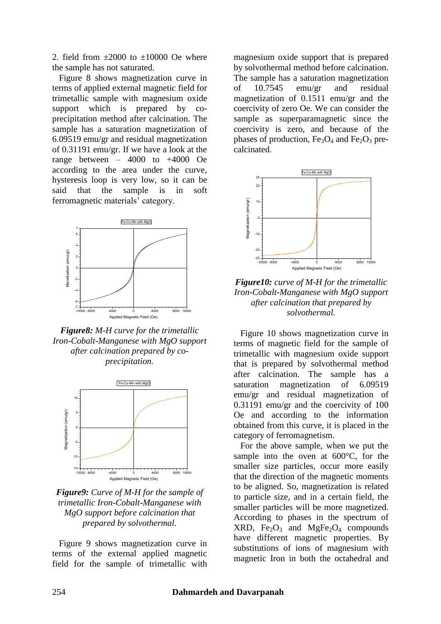2. field from  $\pm 2000$  to  $\pm 10000$  Oe where the sample has not saturated.

 Figure 8 shows magnetization curve in terms of applied external magnetic field for trimetallic sample with magnesium oxide support which is prepared by coprecipitation method after calcination. The sample has a saturation magnetization of 6.09519 emu/gr and residual magnetization of 0.31191 emu/gr. If we have a look at the range between  $-4000$  to  $+4000$  Oe according to the area under the curve, hysteresis loop is very low, so it can be said that the sample is in soft ferromagnetic materials' category.



*Figure8: M-H curve for the trimetallic Iron-Cobalt-Manganese with MgO support after calcination prepared by coprecipitation.*



*Figure9: Curve of M-H for the sample of trimetallic Iron-Cobalt-Manganese with MgO support before calcination that prepared by solvothermal.*

Figure 9 shows magnetization curve in terms of the external applied magnetic field for the sample of trimetallic with

magnesium oxide support that is prepared by solvothermal method before calcination. The sample has a saturation magnetization of 10.7545 emu/gr and residual magnetization of 0.1511 emu/gr and the coercivity of zero Oe. We can consider the sample as superparamagnetic since the coercivity is zero, and because of the phases of production,  $Fe<sub>3</sub>O<sub>4</sub>$  and  $Fe<sub>2</sub>O<sub>3</sub>$  precalcinated.



*Figure10: curve of M-H for the trimetallic Iron-Cobalt-Manganese with MgO support after calcination that prepared by solvothermal.*

Figure 10 shows magnetization curve in terms of magnetic field for the sample of trimetallic with magnesium oxide support that is prepared by solvothermal method after calcination. The sample has a saturation magnetization of 6.09519 emu/gr and residual magnetization of 0.31191 emu/gr and the coercivity of 100 Oe and according to the information obtained from this curve, it is placed in the category of ferromagnetism.

 For the above sample, when we put the sample into the oven at 600°C, for the smaller size particles, occur more easily that the direction of the magnetic moments to be aligned. So, magnetization is related to particle size, and in a certain field, the smaller particles will be more magnetized. According to phases in the spectrum of  $XRD$ ,  $Fe<sub>2</sub>O<sub>3</sub>$  and  $MgFe<sub>2</sub>O<sub>4</sub>$  compounds have different magnetic properties. By substitutions of ions of magnesium with magnetic Iron in both the octahedral and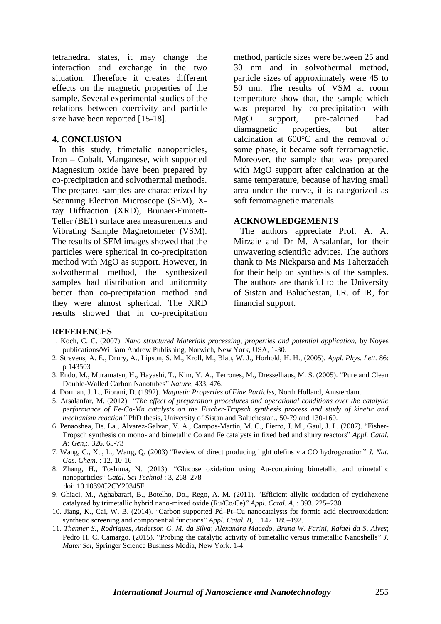tetrahedral states, it may change the interaction and exchange in the two situation. Therefore it creates different effects on the magnetic properties of the sample. Several experimental studies of the relations between coercivity and particle size have been reported [15-18].

#### **4. CONCLUSION**

In this study, trimetalic nanoparticles, Iron – Cobalt, Manganese, with supported Magnesium oxide have been prepared by co-precipitation and solvothermal methods. The prepared samples are characterized by Scanning Electron Microscope (SEM), Xray Diffraction (XRD), Brunaer-Emmett-Teller (BET) surface area measurements and Vibrating Sample Magnetometer (VSM). The results of SEM images showed that the particles were spherical in co-precipitation method with MgO as support. However, in solvothermal method, the synthesized samples had distribution and uniformity better than co-precipitation method and they were almost spherical. The XRD results showed that in co-precipitation

method, particle sizes were between 25 and 30 nm and in solvothermal method, particle sizes of approximately were 45 to 50 nm. The results of VSM at room temperature show that, the sample which was prepared by co-precipitation with MgO support, pre-calcined had diamagnetic properties, but after calcination at 600°C and the removal of some phase, it became soft ferromagnetic. Moreover, the sample that was prepared with MgO support after calcination at the same temperature, because of having small area under the curve, it is categorized as soft ferromagnetic materials.

## **ACKNOWLEDGEMENTS**

The authors appreciate Prof. A. A. Mirzaie and Dr M. Arsalanfar, for their unwavering scientific advices. The authors thank to Ms Nickparsa and Ms Taherzadeh for their help on synthesis of the samples. The authors are thankful to the University of Sistan and Baluchestan, I.R. of IR, for financial support.

## **REFERENCES**

- 1. Koch, C. C. (2007). *Nano structured Materials processing, properties and potential application,* by Noyes publications/William Andrew Publishing, Norwich, New York, USA, 1-30.
- 2. Strevens, A. E., Drury, A., Lipson, S. M., Kroll, M., Blau, W. J., Horhold, H. H., (2005). *Appl. Phys. Lett.* 86: p 143503
- 3. Endo, M., Muramatsu, H., Hayashi, T., Kim, Y. A., Terrones, M., Dresselhaus, M. S. (2005). "Pure and Clean Double-Walled Carbon Nanotubes" *Nature,* 433, 476.
- 4. Dorman, J. L., Fiorani, D. (1992). *Magnetic Properties of Fine Particles,* North Holland, Amsterdam.
- 5. Arsalanfar, M. (2012). *"The effect of preparation procedures and operational conditions over the catalytic performance of Fe-Co-Mn catalysts on the Fischer-Tropsch synthesis process and study of kinetic and mechanism reaction"* PhD thesis, University of Sistan and Baluchestan.. 50-79 and 130-160.
- 6. Penaoshea, De. La., Alvarez-Galvan, V. A., Campos-Martin, M. C., Fierro, J. M., Gaul, J. L. (2007). "Fisher-Tropsch synthesis on mono- and bimetallic Co and Fe catalysts in fixed bed and slurry reactors" *Appl. Catal. A: Gen,*:. 326, 65-73
- 7. Wang, C., Xu, L., Wang, Q. (2003) "Review of direct producing light olefins via CO hydrogenation" *J. Nat. Gas. Chem,* : 12, 10-16
- 8. Zhang, H., Toshima, N. (2013). "Glucose oxidation using Au-containing bimetallic and trimetallic nanoparticles" *Catal. Sci Technol* : 3, 268–278 doi: 10.1039/C2CY20345F.
- 9. Ghiaci, M., Aghabarari, B., Botelho, Do., Rego, A. M. (2011). "Efficient allylic oxidation of cyclohexene catalyzed by trimetallic hybrid nano-mixed oxide (Ru/Co/Ce)" *Appl. Catal. A,* : 393. 225–230
- 10. Jiang, K., Cai, W. B. (2014). "Carbon supported Pd–Pt–Cu nanocatalysts for formic acid electrooxidation: synthetic screening and componential functions" *Appl. Catal. B*, :. 147. 185–192.
- 11. *Thenner S*., *Rodrigues*, *Anderson G. M. da Silva*; *Alexandra Macedo*, *Bruna W*. *Farini*, *Rafael da S*. *Alves*; Pedro H. C. Camargo. (2015). "Probing the catalytic activity of bimetallic versus trimetallic Nanoshells" *J. Mater Sci,* Springer Science Business Media, New York. 1-4.